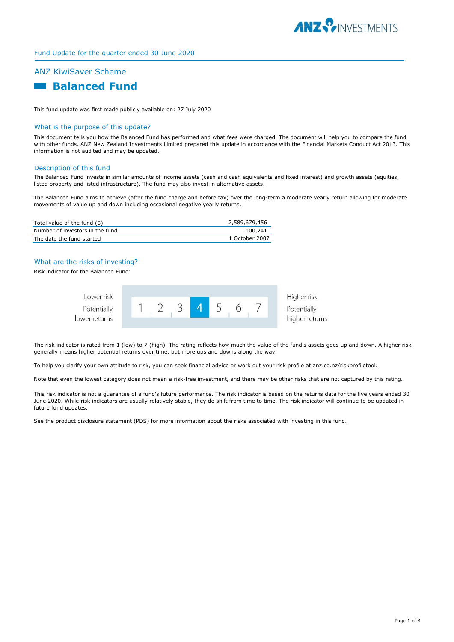

# ANZ KiwiSaver Scheme



This fund update was first made publicly available on: 27 July 2020

#### What is the purpose of this update?

This document tells you how the Balanced Fund has performed and what fees were charged. The document will help you to compare the fund with other funds. ANZ New Zealand Investments Limited prepared this update in accordance with the Financial Markets Conduct Act 2013. This information is not audited and may be updated.

#### Description of this fund

The Balanced Fund invests in similar amounts of income assets (cash and cash equivalents and fixed interest) and growth assets (equities, listed property and listed infrastructure). The fund may also invest in alternative assets.

The Balanced Fund aims to achieve (after the fund charge and before tax) over the long-term a moderate yearly return allowing for moderate movements of value up and down including occasional negative yearly returns.

| Total value of the fund (\$)    | 2,589,679,456  |
|---------------------------------|----------------|
| Number of investors in the fund | 100,241        |
| The date the fund started       | 1 October 2007 |

### What are the risks of investing?

Risk indicator for the Balanced Fund:

| Lower risk                   |  |  |  | Higher risk                   |
|------------------------------|--|--|--|-------------------------------|
| Potentially<br>lower returns |  |  |  | Potentially<br>higher returns |
|                              |  |  |  |                               |

The risk indicator is rated from 1 (low) to 7 (high). The rating reflects how much the value of the fund's assets goes up and down. A higher risk generally means higher potential returns over time, but more ups and downs along the way.

To help you clarify your own attitude to risk, you can seek financial advice or work out your risk profile at anz.co.nz/riskprofiletool.

Note that even the lowest category does not mean a risk-free investment, and there may be other risks that are not captured by this rating.

This risk indicator is not a guarantee of a fund's future performance. The risk indicator is based on the returns data for the five years ended 30 June 2020. While risk indicators are usually relatively stable, they do shift from time to time. The risk indicator will continue to be updated in future fund updates.

See the product disclosure statement (PDS) for more information about the risks associated with investing in this fund.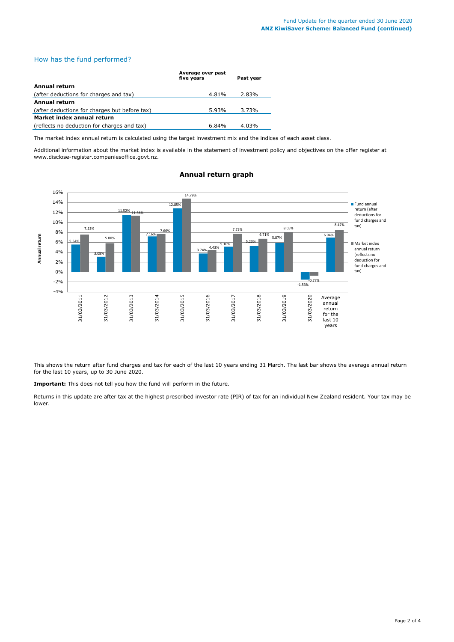# How has the fund performed?

|                                               | Average over past<br>five vears | Past vear |  |  |
|-----------------------------------------------|---------------------------------|-----------|--|--|
| Annual return                                 |                                 |           |  |  |
| (after deductions for charges and tax)        | 4.81%                           | 2.83%     |  |  |
| <b>Annual return</b>                          |                                 |           |  |  |
| (after deductions for charges but before tax) | 5.93%                           | 3.73%     |  |  |
| Market index annual return                    |                                 |           |  |  |
| (reflects no deduction for charges and tax)   | $6.84\%$                        | 4.03%     |  |  |

The market index annual return is calculated using the target investment mix and the indices of each asset class.

Additional information about the market index is available in the statement of investment policy and objectives on the offer register at www.disclose-register.companiesoffice.govt.nz.



## **Annual return graph**

This shows the return after fund charges and tax for each of the last 10 years ending 31 March. The last bar shows the average annual return for the last 10 years, up to 30 June 2020.

**Important:** This does not tell you how the fund will perform in the future.

Returns in this update are after tax at the highest prescribed investor rate (PIR) of tax for an individual New Zealand resident. Your tax may be lower.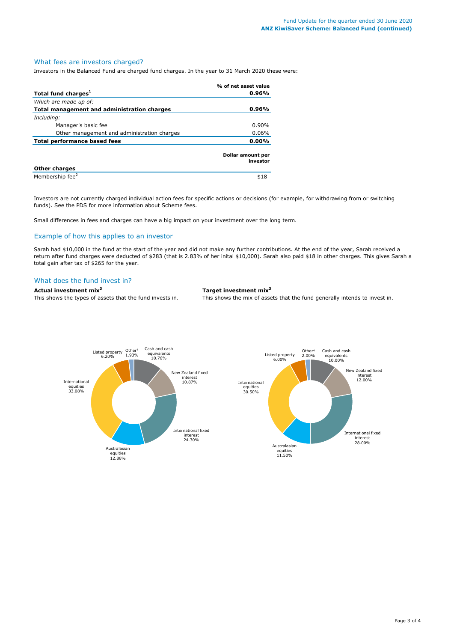#### What fees are investors charged?

Investors in the Balanced Fund are charged fund charges. In the year to 31 March 2020 these were:

|                                             | % of net asset value          |
|---------------------------------------------|-------------------------------|
| Total fund charges <sup>1</sup>             | 0.96%                         |
| Which are made up of:                       |                               |
| Total management and administration charges | 0.96%                         |
| Including:                                  |                               |
| Manager's basic fee                         | $0.90\%$                      |
| Other management and administration charges | 0.06%                         |
| <b>Total performance based fees</b>         | $0.00\%$                      |
|                                             | Dollar amount per<br>investor |
| <b>Other charges</b>                        |                               |
| Membership fee <sup>2</sup>                 | \$18                          |

Investors are not currently charged individual action fees for specific actions or decisions (for example, for withdrawing from or switching funds). See the PDS for more information about Scheme fees.

Small differences in fees and charges can have a big impact on your investment over the long term.

# Example of how this applies to an investor

Sarah had \$10,000 in the fund at the start of the year and did not make any further contributions. At the end of the year, Sarah received a return after fund charges were deducted of \$283 (that is 2.83% of her inital \$10,000). Sarah also paid \$18 in other charges. This gives Sarah a total gain after tax of \$265 for the year.

#### What does the fund invest in?

**Actual investment mix<sup>3</sup> Target investment mix<sup>3</sup>**

This shows the types of assets that the fund invests in. This shows the mix of assets that the fund generally intends to invest in.